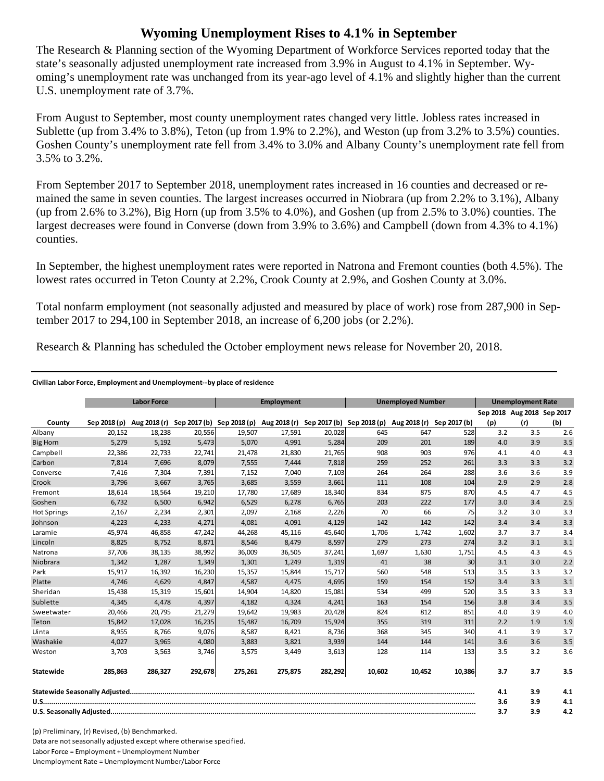## **Wyoming Unemployment Rises to 4.1% in September**

The Research & Planning section of the Wyoming Department of Workforce Services reported today that the state's seasonally adjusted unemployment rate increased from 3.9% in August to 4.1% in September. Wyoming's unemployment rate was unchanged from its year-ago level of 4.1% and slightly higher than the current U.S. unemployment rate of 3.7%.

From August to September, most county unemployment rates changed very little. Jobless rates increased in Sublette (up from 3.4% to 3.8%), Teton (up from 1.9% to 2.2%), and Weston (up from 3.2% to 3.5%) counties. Goshen County's unemployment rate fell from 3.4% to 3.0% and Albany County's unemployment rate fell from 3.5% to 3.2%.

From September 2017 to September 2018, unemployment rates increased in 16 counties and decreased or remained the same in seven counties. The largest increases occurred in Niobrara (up from 2.2% to 3.1%), Albany (up from 2.6% to 3.2%), Big Horn (up from 3.5% to 4.0%), and Goshen (up from 2.5% to 3.0%) counties. The largest decreases were found in Converse (down from 3.9% to 3.6%) and Campbell (down from 4.3% to 4.1%) counties.

In September, the highest unemployment rates were reported in Natrona and Fremont counties (both 4.5%). The lowest rates occurred in Teton County at 2.2%, Crook County at 2.9%, and Goshen County at 3.0%.

Total nonfarm employment (not seasonally adjusted and measured by place of work) rose from 287,900 in September 2017 to 294,100 in September 2018, an increase of 6,200 jobs (or 2.2%).

Research & Planning has scheduled the October employment news release for November 20, 2018.

## **Civilian Labor Force, Employment and Unemployment‐‐by place of residence**

|                    | <b>Labor Force</b> |         |         | <b>Employment</b>                                                                          |         |         | <b>Unemployed Number</b> |        |              | <b>Unemployment Rate</b> |                            |     |
|--------------------|--------------------|---------|---------|--------------------------------------------------------------------------------------------|---------|---------|--------------------------|--------|--------------|--------------------------|----------------------------|-----|
|                    |                    |         |         |                                                                                            |         |         |                          |        |              |                          | Sep 2018 Aug 2018 Sep 2017 |     |
| County             | Sep 2018 (p)       |         |         | Aug 2018 (r) Sep 2017 (b) Sep 2018 (p) Aug 2018 (r) Sep 2017 (b) Sep 2018 (p) Aug 2018 (r) |         |         |                          |        | Sep 2017 (b) | (p)                      | (r)                        | (b) |
| Albany             | 20,152             | 18,238  | 20,556  | 19,507                                                                                     | 17,591  | 20,028  | 645                      | 647    | 528          | 3.2                      | 3.5                        | 2.6 |
| <b>Big Horn</b>    | 5,279              | 5,192   | 5,473   | 5,070                                                                                      | 4,991   | 5,284   | 209                      | 201    | 189          | 4.0                      | 3.9                        | 3.5 |
| Campbell           | 22,386             | 22,733  | 22,741  | 21,478                                                                                     | 21,830  | 21,765  | 908                      | 903    | 976          | 4.1                      | 4.0                        | 4.3 |
| Carbon             | 7,814              | 7,696   | 8,079   | 7,555                                                                                      | 7,444   | 7,818   | 259                      | 252    | 261          | 3.3                      | 3.3                        | 3.2 |
| Converse           | 7,416              | 7,304   | 7,391   | 7,152                                                                                      | 7,040   | 7,103   | 264                      | 264    | 288          | 3.6                      | 3.6                        | 3.9 |
| Crook              | 3,796              | 3,667   | 3,765   | 3,685                                                                                      | 3,559   | 3,661   | 111                      | 108    | 104          | 2.9                      | 2.9                        | 2.8 |
| Fremont            | 18,614             | 18,564  | 19,210  | 17,780                                                                                     | 17,689  | 18,340  | 834                      | 875    | 870          | 4.5                      | 4.7                        | 4.5 |
| Goshen             | 6.732              | 6,500   | 6.942   | 6,529                                                                                      | 6,278   | 6,765   | 203                      | 222    | 177          | 3.0                      | 3.4                        | 2.5 |
| <b>Hot Springs</b> | 2,167              | 2,234   | 2,301   | 2,097                                                                                      | 2,168   | 2,226   | 70                       | 66     | 75           | 3.2                      | 3.0                        | 3.3 |
| Johnson            | 4,223              | 4,233   | 4,271   | 4,081                                                                                      | 4,091   | 4,129   | 142                      | 142    | 142          | 3.4                      | 3.4                        | 3.3 |
| Laramie            | 45,974             | 46,858  | 47,242  | 44,268                                                                                     | 45,116  | 45,640  | 1,706                    | 1,742  | 1,602        | 3.7                      | 3.7                        | 3.4 |
| Lincoln            | 8,825              | 8,752   | 8,871   | 8,546                                                                                      | 8,479   | 8,597   | 279                      | 273    | 274          | 3.2                      | 3.1                        | 3.1 |
| Natrona            | 37,706             | 38,135  | 38,992  | 36.009                                                                                     | 36,505  | 37,241  | 1,697                    | 1,630  | 1,751        | 4.5                      | 4.3                        | 4.5 |
| Niobrara           | 1.342              | 1,287   | 1,349   | 1,301                                                                                      | 1,249   | 1,319   | 41                       | 38     | 30           | 3.1                      | 3.0                        | 2.2 |
| Park               | 15,917             | 16,392  | 16,230  | 15,357                                                                                     | 15,844  | 15,717  | 560                      | 548    | 513          | 3.5                      | 3.3                        | 3.2 |
| Platte             | 4,746              | 4,629   | 4,847   | 4,587                                                                                      | 4,475   | 4,695   | 159                      | 154    | 152          | 3.4                      | 3.3                        | 3.1 |
| Sheridan           | 15.438             | 15,319  | 15,601  | 14.904                                                                                     | 14,820  | 15,081  | 534                      | 499    | 520          | 3.5                      | 3.3                        | 3.3 |
| Sublette           | 4,345              | 4,478   | 4,397   | 4,182                                                                                      | 4,324   | 4,241   | 163                      | 154    | 156          | 3.8                      | 3.4                        | 3.5 |
| Sweetwater         | 20,466             | 20,795  | 21,279  | 19,642                                                                                     | 19,983  | 20,428  | 824                      | 812    | 851          | 4.0                      | 3.9                        | 4.0 |
| Teton              | 15.842             | 17,028  | 16,235  | 15.487                                                                                     | 16,709  | 15,924  | 355                      | 319    | 311          | 2.2                      | 1.9                        | 1.9 |
| Uinta              | 8,955              | 8,766   | 9,076   | 8,587                                                                                      | 8,421   | 8,736   | 368                      | 345    | 340          | 4.1                      | 3.9                        | 3.7 |
| Washakie           | 4.027              | 3.965   | 4.080   | 3.883                                                                                      | 3.821   | 3,939   | 144                      | 144    | 141          | 3.6                      | 3.6                        | 3.5 |
| Weston             | 3,703              | 3,563   | 3,746   | 3,575                                                                                      | 3,449   | 3,613   | 128                      | 114    | 133          | 3.5                      | 3.2                        | 3.6 |
| Statewide          | 285.863            | 286.327 | 292,678 | 275,261                                                                                    | 275.875 | 282,292 | 10.602                   | 10.452 | 10,386       | 3.7                      | 3.7                        | 3.5 |
|                    |                    |         |         |                                                                                            |         |         |                          | 4.1    | 3.9          | 4.1                      |                            |     |
|                    |                    |         |         |                                                                                            |         |         |                          |        |              | 3.6                      | 3.9                        | 4.1 |
|                    |                    |         |         |                                                                                            |         |         |                          |        |              | 3.7                      | 3.9                        | 4.2 |

(p) Preliminary, (r) Revised, (b) Benchmarked. Data are not seasonally adjusted except where otherwise specified. Labor Force = Employment + Unemployment Number Unemployment Rate = Unemployment Number/Labor Force